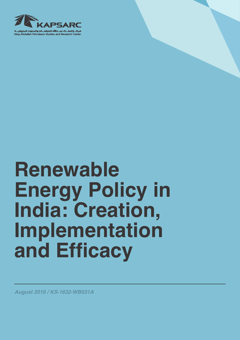

# **Renewable Energy Policy in India: Creation, Implementation and Efficacy**

*August 2016 / KS-1632-WB031A*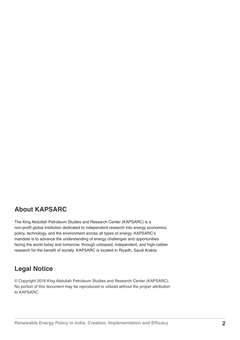### **About KAPSARC**

The King Abdullah Petroleum Studies and Research Center (KAPSARC) is a non-profit global institution dedicated to independent research into energy economics, policy, technology, and the environment across all types of energy. KAPSARC's mandate is to advance the understanding of energy challenges and opportunities facing the world today and tomorrow, through unbiased, independent, and high-caliber research for the benefit of society. KAPSARC is located in Riyadh, Saudi Arabia.

### **Legal Notice**

© Copyright 2016 King Abdullah Petroleum Studies and Research Center (KAPSARC). No portion of this document may be reproduced or utilized without the proper attribution to KAPSARC.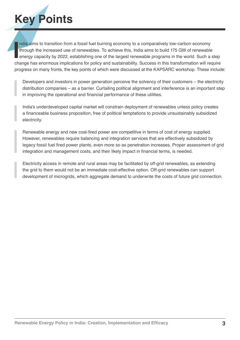# **Key Points**

India aims to transition from a fossil fuel burning economy to a comparatively low-carbon economy<br>through the increased use of renewables. To achieve this, India aims to build 175 GW of renewable<br>energy capacity by 2022, e ndia aims to transition from a fossil fuel burning economy to a comparatively low-carbon economy through the increased use of renewables. To achieve this, India aims to build 175 GW of renewable energy capacity by 2022, establishing one of the largest renewable programs in the world. Such a step progress on many fronts, the key points of which were discussed at the KAPSARC workshop. These include:

Developers and investors in power generation perceive the solvency of their customers – the electricity distribution companies – as a barrier. Curtailing political alignment and interference is an important step in improving the operational and financial performance of these utilities.

India's underdeveloped capital market will constrain deployment of renewables unless policy creates a financeable business proposition, free of political temptations to provide unsustainably subsidized electricity.

Renewable energy and new coal-fired power are competitive in terms of cost of energy supplied. However, renewables require balancing and integration services that are effectively subsidized by legacy fossil fuel fired power plants, even more so as penetration increases. Proper assessment of grid integration and management costs, and their likely impact in financial terms, is needed.

Electricity access in remote and rural areas may be facilitated by off-grid renewables, as extending the grid to them would not be an immediate cost-effective option. Off-grid renewables can support development of microgrids, which aggregate demand to underwrite the costs of future grid connection.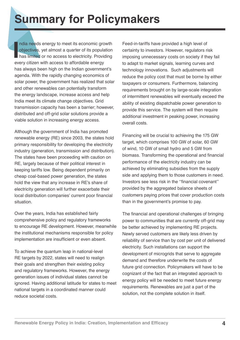# **Summary for Policymakers**

India needs energy to meet its economic group<br>bijectives, yet almost a quarter of its popular<br>has limited or no access to electricity. Provid<br>every citizen with access to affordable energy ndia needs energy to meet its economic growth objectives, yet almost a quarter of its population has limited or no access to electricity. Providing has always been high on the Indian government's agenda. With the rapidly changing economics of solar power, the government has realized that solar and other renewables can potentially transform the energy landscape, increase access and help India meet its climate change objectives. Grid transmission capacity has been a barrier; however, distributed and off-grid solar solutions provide a viable solution in increasing energy access.

Although the government of India has promoted renewable energy (RE) since 2003, the states hold primary responsibility for developing the electricity industry (generation, transmission and distribution). The states have been proceeding with caution on RE, largely because of their political interest in keeping tariffs low. Being dependent primarily on cheap coal-based power generation, the states hold the view that any increase in RE's share of electricity generation will further exacerbate their local distribution companies' current poor financial situation.

Over the years, India has established fairly comprehensive policy and regulatory frameworks to encourage RE development. However, meanwhile the institutional mechanisms responsible for policy implementation are insufficient or even absent.

To achieve the quantum leap in national-level RE targets by 2022, states will need to realign their goals and strengthen their existing policy and regulatory frameworks. However, the energy generation issues of individual states cannot be ignored. Having additional latitude for states to meet national targets in a coordinated manner could reduce societal costs.

Feed-in-tariffs have provided a high level of certainty to investors. However, regulators risk imposing unnecessary costs on society if they fail to adapt to market signals, learning curves and technology innovations. Such adjustments will reduce the policy cost that must be borne by either taxpayers or consumers. Furthermore, balancing requirements brought on by large-scale integration of intermittent renewables will eventually exceed the ability of existing dispatchable power generation to provide this service. The system will then require additional investment in peaking power, increasing overall costs.

Financing will be crucial to achieving the 175 GW target, which comprises 100 GW of solar, 60 GW of wind, 10 GW of small hydro and 5 GW from biomass. Transforming the operational and financial performance of the electricity industry can be achieved by eliminating subsidies from the supply side and applying them to those customers in need. Investors see less risk in the ''financial covenant'' provided by the aggregated balance sheets of customers paying prices that cover production costs than in the government's promise to pay.

The financial and operational challenges of bringing power to communities that are currently off-grid may be better achieved by implementing RE projects. Newly served customers are likely less driven by reliability of service than by cost per unit of delivered electricity. Such installations can support the development of microgrids that serve to aggregate demand and therefore underwrite the costs of future grid connection. Policymakers will have to be cognizant of the fact that an integrated approach to energy policy will be needed to meet future energy requirements. Renewables are just a part of the solution, not the complete solution in itself.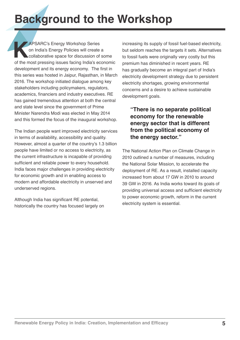## **Background to the Workshop**

**KAPSARC's Energy Workshop Series**<br> **KAPSARC's Energy Policies will create**<br> **KAPSARC's Energy Policies will create**<br> **Collaborative space for discussion of**<br>
of the most pressing issues facing India's ed on India's Energy Policies will create a collaborative space for discussion of some of the most pressing issues facing India's economic development and its energy economy. The first in this series was hosted in Jaipur, Rajasthan, in March 2016. The workshop initiated dialogue among key stakeholders including policymakers, regulators, academics, financiers and industry executives. RE has gained tremendous attention at both the central and state level since the government of Prime Minister Narendra Modi was elected in May 2014 and this formed the focus of the inaugural workshop.

The Indian people want improved electricity services in terms of availability, accessibility and quality. However, almost a quarter of the country's 1.3 billion people have limited or no access to electricity, as the current infrastructure is incapable of providing sufficient and reliable power to every household. India faces major challenges in providing electricity for economic growth and in enabling access to modern and affordable electricity in unserved and underserved regions.

Although India has significant RE potential, historically the country has focused largely on increasing its supply of fossil fuel-based electricity, but seldom reaches the targets it sets. Alternatives to fossil fuels were originally very costly but this premium has diminished in recent years. RE has gradually become an integral part of India's electricity development strategy due to persistent electricity shortages, growing environmental concerns and a desire to achieve sustainable development goals.

#### **"There is no separate political economy for the renewable energy sector that is different from the political economy of the energy sector."**

The National Action Plan on Climate Change in 2010 outlined a number of measures, including the National Solar Mission, to accelerate the deployment of RE. As a result, installed capacity increased from about 17 GW in 2010 to around 39 GW in 2016. As India works toward its goals of providing universal access and sufficient electricity to power economic growth, reform in the current electricity system is essential.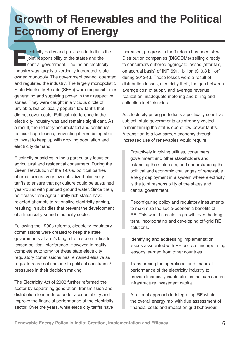### **Growth of Renewables and the Political Economy of Energy**

**Electricity** policy and provision in India is the joint responsibility of the states and the central government. The Indian electricity industry was largely a vertically-integrated, statei joint responsibility of the states and the central government. The Indian electricity owned monopoly. The government owned, operated and regulated the industry. The largely monopolistic State Electricity Boards (SEBs) were responsible for generating and supplying power in their respective states. They were caught in a vicious circle of unviable, but politically popular, low tariffs that did not cover costs. Political interference in the electricity industry was and remains significant. As a result, the industry accumulated and continues to incur huge losses, preventing it from being able to invest to keep up with growing population and electricity demand.

Electricity subsidies in India particularly focus on agricultural and residential consumers. During the Green Revolution of the 1970s, political parties offered farmers very low subsidized electricity tariffs to ensure that agriculture could be sustained year-round with pumped ground water. Since then, politicians from agriculturally rich states have rejected attempts to rationalize electricity pricing, resulting in subsidies that prevent the development of a financially sound electricity sector.

Following the 1990s reforms, electricity regulatory commissions were created to keep the state governments at arm's length from state utilities to lessen political interference. However, in reality, complete autonomy for these state electricity regulatory commissions has remained elusive as regulators are not immune to political constraints/ pressures in their decision making.

The Electricity Act of 2003 further reformed the sector by separating generation, transmission and distribution to introduce better accountability and improve the financial performance of the electricity sector. Over the years, while electricity tariffs have

increased, progress in tariff reform has been slow. Distribution companies (DISCOMs) selling directly to consumers suffered aggregate losses (after tax, on accrual basis) of INR 691.1 billion (\$10.3 billion) during 2012-13. These losses were a result of distribution losses, electricity theft, the gap between average cost of supply and average revenue realization, inadequate metering and billing and collection inefficiencies.

As electricity pricing in India is a politically sensitive subject, state governments are strongly vested in maintaining the status quo of low power tariffs. A transition to a low-carbon economy through increased use of renewables would require:

Proactively involving utilities, consumers, government and other stakeholders and balancing their interests, and understanding the political and economic challenges of renewable energy deployment in a system where electricity is the joint responsibility of the states and central government.

Reconfiguring policy and regulatory instruments to maximize the socio-economic benefits of RE. This would sustain its growth over the long term, incorporating and developing off-grid RE solutions.

Identifying and addressing implementation issues associated with RE policies, incorporating lessons learned from other countries.

Transforming the operational and financial performance of the electricity industry to provide financially viable utilities that can secure infrastructure investment capital.

A rational approach to integrating RE within the overall energy mix with due assessment of financial costs and impact on grid behaviour.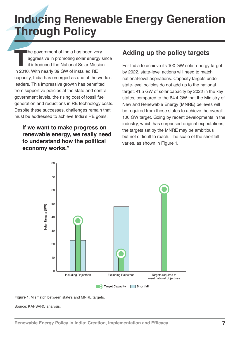### **Inducing Renewable Energy Generation Through Policy**

**The government of India has been very aggressive in promoting solar energy s** it introduced the National Solar Mission in 2010. With nearly 39 GW of installed RE aggressive in promoting solar energy since it introduced the National Solar Mission capacity, India has emerged as one of the world's leaders. This impressive growth has benefited from supportive policies at the state and central government levels, the rising cost of fossil fuel generation and reductions in RE technology costs. Despite these successes, challenges remain that must be addressed to achieve India's RE goals.

### **If we want to make progress on renewable energy, we really need to understand how the political economy works."**

### **Adding up the policy targets**

For India to achieve its 100 GW solar energy target by 2022, state-level actions will need to match national-level aspirations. Capacity targets under state-level policies do not add up to the national target: 41.5 GW of solar capacity by 2022 in the key states, compared to the 64.4 GW that the Ministry of New and Renewable Energy (MNRE) believes will be required from these states to achieve the overall 100 GW target. Going by recent developments in the industry, which has surpassed original expectations, the targets set by the MNRE may be ambitious but not difficult to reach. The scale of the shortfall varies, as shown in Figure 1.



**Figure 1.** Mismatch between state's and MNRE targets.

Source: KAPSARC analysis.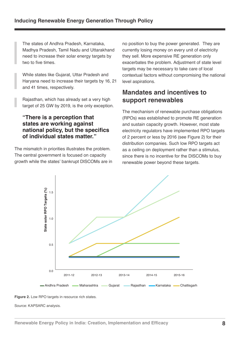The states of Andhra Pradesh, Karnataka, Madhya Pradesh, Tamil Nadu and Uttarakhand need to increase their solar energy targets by two to five times.

While states like Gujarat, Uttar Pradesh and Haryana need to increase their targets by 16, 21 and 41 times, respectively.

Rajasthan, which has already set a very high target of 25 GW by 2019, is the only exception.

#### **"There is a perception that states are working against national policy, but the specifics of individual states matter."**

The mismatch in priorities illustrates the problem. The central government is focused on capacity growth while the states' bankrupt DISCOMs are in no position to buy the power generated. They are currently losing money on every unit of electricity they sell. More expensive RE generation only exacerbates the problem. Adjustment of state level targets may be necessary to take care of local contextual factors without compromising the national level aspirations.

### **Mandates and incentives to support renewables**

The mechanism of renewable purchase obligations (RPOs) was established to promote RE generation and sustain capacity growth. However, most state electricity regulators have implemented RPO targets of 2 percent or less by 2016 (see Figure 2) for their distribution companies. Such low RPO targets act as a ceiling on deployment rather than a stimulus, since there is no incentive for the DISCOMs to buy renewable power beyond these targets.





Source: KAPSARC analysis.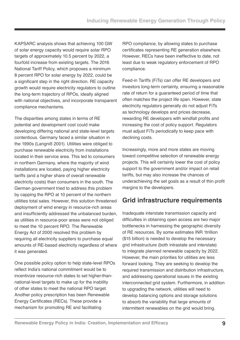KAPSARC analysis shows that achieving 100 GW of solar energy capacity would require solar RPO targets of approximately 10.5 percent by 2022, a fourfold increase from existing targets. The 2016 National Tariff Policy, which proposes a minimum 8 percent RPO for solar energy by 2022, could be a significant step in the right direction. RE capacity growth would require electricity regulators to outline the long-term trajectory of RPOs, ideally aligned with national objectives, and incorporate transparent compliance mechanisms.

The disparities among states in terms of RE potential and development cost could make developing differing national and state-level targets contentious. Germany faced a similar situation in the 1990s (Langniß 2001). Utilities were obliged to purchase renewable electricity from installations located in their service area. This led to consumers in northern Germany, where the majority of wind installations are located, paying higher electricity tariffs (and a higher share of overall renewable electricity costs) than consumers in the south. The German government tried to address this problem by capping the RPO at 10 percent of the northern utilities total sales. However, this solution threatened deployment of wind energy in resource-rich areas and insufficiently addressed the unbalanced burden, as utilities in resource-poor areas were not obliged to meet the 10 percent RPO. The Renewable Energy Act of 2000 resolved this problem by requiring all electricity suppliers to purchase equal amounts of RE-based electricity regardless of where it was generated.

One possible policy option to help state-level RPOs reflect India's national commitment would be to incentivize resource-rich states to set higher-thannational-level targets to make up for the inability of other states to meet the national RPO target. Another policy prescription has been Renewable Energy Certificates (RECs). These provide a mechanism for promoting RE and facilitating

RPO compliance, by allowing states to purchase certificates representing RE generation elsewhere. However, RECs have been ineffective to date, not least due to weak regulatory enforcement of RPO compliance.

Feed-in Tariffs (FiTs) can offer RE developers and investors long-term certainty, ensuring a reasonable rate of return for a guaranteed period of time that often matches the project life span. However, state electricity regulators generally do not adjust FiTs as technology develops and prices decrease, rewarding RE developers with windfall profits and increasing the cost of policy support. Regulators must adjust FiTs periodically to keep pace with declining costs.

Increasingly, more and more states are moving toward competitive selection of renewable energy projects. This will certainly lower the cost of policy support to the government and/or impact on retail tariffs, but may also increase the chances of underachieving the set goals as a result of thin profit margins to the developers.

### **Grid infrastructure requirements**

Inadequate interstate transmission capacity and difficulties in obtaining open access are two major bottlenecks in harnessing the geographic diversity of RE resources. By some estimates INR 1trillion (\$15 billion) is needed to develop the necessary grid infrastructure (both intrastate and interstate) to integrate planned renewable capacity by 2022. However, the main priorities for utilities are less forward looking. They are seeking to develop the required transmission and distribution infrastructure, and addressing operational issues in the existing interconnected grid system. Furthermore, in addition to upgrading the network, utilities will need to develop balancing options and storage solutions to absorb the variability that large amounts of intermittent renewables on the grid would bring.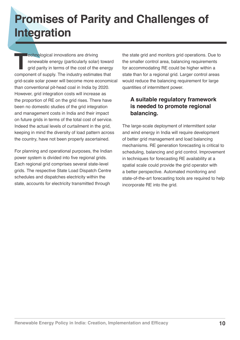### **Promises of Parity and Challenges of Integration**

**The component of supply.** The industry solar) toward grid parity in terms of the cost of the energy component of supply. The industry estimates that renewable energy (particularly solar) toward grid parity in terms of the cost of the energy grid-scale solar power will become more economical than conventional pit-head coal in India by 2020. However, grid integration costs will increase as the proportion of RE on the grid rises. There have been no domestic studies of the grid integration and management costs in India and their impact on future grids in terms of the total cost of service. Indeed the actual levels of curtailment in the grid, keeping in mind the diversity of load pattern across the country, have not been properly ascertained.

For planning and operational purposes, the Indian power system is divided into five regional grids. Each regional grid comprises several state-level grids. The respective State Load Dispatch Centre schedules and dispatches electricity within the state, accounts for electricity transmitted through

the state grid and monitors grid operations. Due to the smaller control area, balancing requirements for accommodating RE could be higher within a state than for a regional grid. Larger control areas would reduce the balancing requirement for large quantities of intermittent power.

### **A suitable regulatory framework is needed to promote regional balancing.**

The large-scale deployment of intermittent solar and wind energy in India will require development of better grid management and load balancing mechanisms. RE generation forecasting is critical to scheduling, balancing and grid control. Improvement in techniques for forecasting RE availability at a spatial scale could provide the grid operator with a better perspective. Automated monitoring and state-of-the-art forecasting tools are required to help incorporate RE into the grid.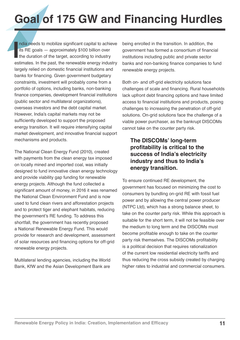# **Goal of 175 GW and Financing Hurdles**

India needs to mobilize significant capital to achieve<br>its RE goals — approximately \$100 billion over<br>the duration of the target, according to industry<br>estimates. In the past, the renewable energy industry ndia needs to mobilize significant capital to achieve its RE goals — approximately \$100 billion over the duration of the target, according to industry largely relied on domestic financial institutions and banks for financing. Given government budgetary constraints, investment will probably come from a portfolio of options, including banks, non-banking finance companies, development financial institutions (public sector and multilateral organizations), overseas investors and the debt capital market. However, India's capital markets may not be sufficiently developed to support the proposed energy transition. It will require intensifying capital market development, and innovative financial support mechanisms and products.

The National Clean Energy Fund (2010), created with payments from the clean energy tax imposed on locally mined and imported coal, was initially designed to fund innovative clean energy technology and provide viability gap funding for renewable energy projects. Although the fund collected a significant amount of money, in 2016 it was renamed the National Clean Environment Fund and is now used to fund clean rivers and afforestation projects and to protect tiger and elephant habitats, reducing the government's RE funding. To address this shortfall, the government has recently proposed a National Renewable Energy Fund. This would provide for research and development, assessment of solar resources and financing options for off-grid renewable energy projects.

Multilateral lending agencies, including the World Bank, KfW and the Asian Development Bank are

being enrolled in the transition. In addition, the government has formed a consortium of financial institutions including public and private sector banks and non-banking finance companies to fund renewable energy projects.

Both on- and off-grid electricity solutions face challenges of scale and financing. Rural households lack upfront debt financing options and have limited access to financial institutions and products, posing challenges to increasing the penetration of off-grid solutions. On-grid solutions face the challenge of a viable power purchaser, as the bankrupt DISCOMs cannot take on the counter party risk.

#### **The DISCOMs' long-term profitability is critical to the success of India's electricity industry and thus to India's energy transition.**

To ensure continued RE development, the government has focused on minimizing the cost to consumers by bundling on-grid RE with fossil fuel power and by allowing the central power producer (NTPC Ltd), which has a strong balance sheet, to take on the counter party risk. While this approach is suitable for the short term, it will not be feasible over the medium to long term and the DISCOMs must become profitable enough to take on the counter party risk themselves. The DISCOMs profitability is a political decision that requires rationalization of the current low residential electricity tariffs and thus reducing the cross subsidy created by charging higher rates to industrial and commercial consumers.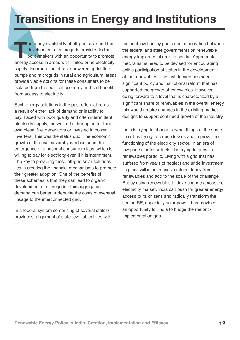## **Transitions in Energy and Institutions**

The ready availability of off-grid solar and the development of microgrids provides Indian policymakers with an opportunity to promote energy access in areas with limited or no electricity development of microgrids provides Indian policymakers with an opportunity to promote supply. Incorporation of solar-powered agricultural pumps and microgrids in rural and agricultural areas provide viable options for these consumers to be isolated from the political economy and still benefit from access to electricity.

Such energy solutions in the past often failed as a result of either lack of demand or inability to pay. Faced with poor quality and often intermittent electricity supply, the well-off either opted for their own diesel fuel generators or invested in power inverters. This was the status quo. The economic growth of the past several years has seen the emergence of a nascent consumer class, which is willing to pay for electricity even if it is intermittent. The key to providing these off-grid solar solutions lies in creating the financial mechanisms to promote their greater adoption. One of the benefits of these schemes is that they can lead to organic development of microgrids. This aggregated demand can better underwrite the costs of eventual linkage to the interconnected grid.

In a federal system comprising of several states/ provinces, alignment of state-level objectives with national-level policy goals and cooperation between the federal and state governments on renewable energy implementation is essential. Appropriate mechanisms need to be devised for encouraging active participation of states in the development of the renewables. The last decade has seen significant policy and institutional reform that has supported the growth of renewables. However, going forward to a level that is characterized by a significant share of renewables in the overall energy mix would require changes in the existing market designs to support continued growth of the industry.

India is trying to change several things at the same time. It is trying to reduce losses and improve the functioning of the electricity sector. In an era of low prices for fossil fuels, it is trying to grow its renewables portfolio. Living with a grid that has suffered from years of neglect and underinvestment, its plans will inject massive intermittency from renewables and add to the scale of the challenge. But by using renewables to drive change across the electricity market, India can push for greater energy access to its citizens and radically transform the sector. RE, especially solar power, has provided an opportunity for India to bridge the rhetoricimplementation gap.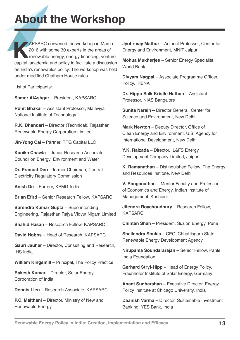## **About the Workshop**

**KAPSARC convened the workshop in March 2016 with some 30 experts in the areas of renewable energy, energy financing, venture capital, academia and policy to facilitate a discussion** 2016 with some 30 experts in the areas of renewable energy, energy financing, venture on India's renewables policy. The workshop was held under modified Chatham House rules.

List of Participants:

**Samer AlAshgar** – President, KAPSARC

**Rohit Bhakar** – Assistant Professor, Malaviya National Institute of Technology

**R.K. Bhandari** – Director (Technical), Rajasthan Renewable Energy Corporation Limited

**Jin-Yong Cai** - Partner, TPG Capital LLC

**Kanika Chawla** – Junior Research Associate, Council on Energy, Environment and Water

**Dr. Pramod Deo** – former Chairman, Central Electricity Regulatory Commission

**Anish De** – Partner, KPMG India

**Brian Efird** – Senior Research Fellow, KAPSARC

**Surendra Kumar Gupta** – Superintending Engineering, Rajasthan Rajya Vidyut Nigam Limited

**Shahid Hasan** – Research Fellow, KAPSARC

**David Hobbs** – Head of Research, KAPSARC

**Gauri Jauhar** – Director, Consulting and Research, IHS India

**William Kingsmill** – Principal, The Policy Practice

**Rakesh Kumar** – Director, Solar Energy Corporation of India

**Dennis Lien** – Research Associate, KAPSARC

**P.C. Maithani** – Director, Ministry of New and Renewable Energy

**Jyotirmay Mathur** – Adjunct Professor, Center for Energy and Environment, MNIT Jaipur

**Mohua Mukherjee** – Senior Energy Specialist, World Bank

**Divyam Nagpal** – Associate Programme Officer, Policy, IRENA

**Dr. Hippu Salk Kristle Nathan** – Assistant Professor, NIAS Bangalore

**Sunita Narain** – Director General, Center for Science and Environment, New Delhi

**Mark Newton - Deputy Director, Office of** Clean Energy and Environment, U.S. Agency for International Development, New Delhi

**Y.K. Raizada** – Director, IL&FS Energy Development Company Limited, Jaipur

**K. Ramanathan** – Distinguished Fellow, The Energy and Resources Institute, New Delhi

**V. Ranganathan** – Mentor Faculty and Professor of Economics and Energy, Indian Institute of Management, Kashipur

**Jitendra Roychoudhury** – Research Fellow, KAPSARC

**Chintan Shah –** President, Suzlon Energy, Pune

**Shailendra Shukla –** CEO, Chhattisgarh State Renewable Energy Development Agency

**Nirupama Soundararajan –** Senior Fellow, Pahle India Foundation

**Gerhard Stryi-Hipp –** Head of Energy Policy, Fraunhofer Institute of Solar Energy, Germany

**Anant Sudharshan –** Executive Director, Energy Policy Institute at Chicago University, India

**Daanish Varma –** Director, Sustainable Investment Banking, YES Bank, India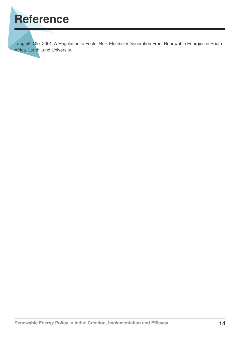

Langniß, Ole. 2001. A Regulation to Foster Bulk Electricity Generation From Renewable Energies in South Africa. Lund: Lund University.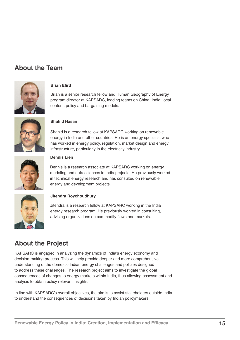### **About the Team**



#### **Brian Efird**

Brian is a senior research fellow and Human Geography of Energy program director at KAPSARC, leading teams on China, India, local content, policy and bargaining models.



#### **Shahid Hasan**

Shahid is a research fellow at KAPSARC working on renewable energy in India and other countries. He is an energy specialist who has worked in energy policy, regulation, market design and energy infrastructure, particularly in the electricity industry.



#### **Dennis Lien**

Dennis is a research associate at KAPSARC working on energy modeling and data sciences in India projects. He previously worked in technical energy research and has consulted on renewable energy and development projects.



#### **Jitendra Roychoudhury**

Jitendra is a research fellow at KAPSARC working in the India energy research program. He previously worked in consulting, advising organizations on commodity flows and markets.

### **About the Project**

KAPSARC is engaged in analyzing the dynamics of India's energy economy and decision-making process. This will help provide deeper and more comprehensive understanding of the domestic Indian energy challenges and policies designed to address these challenges. The research project aims to investigate the global consequences of changes to energy markets within India, thus allowing assessment and analysis to obtain policy relevant insights.

In line with KAPSARC's overall objectives, the aim is to assist stakeholders outside India to understand the consequences of decisions taken by Indian policymakers.